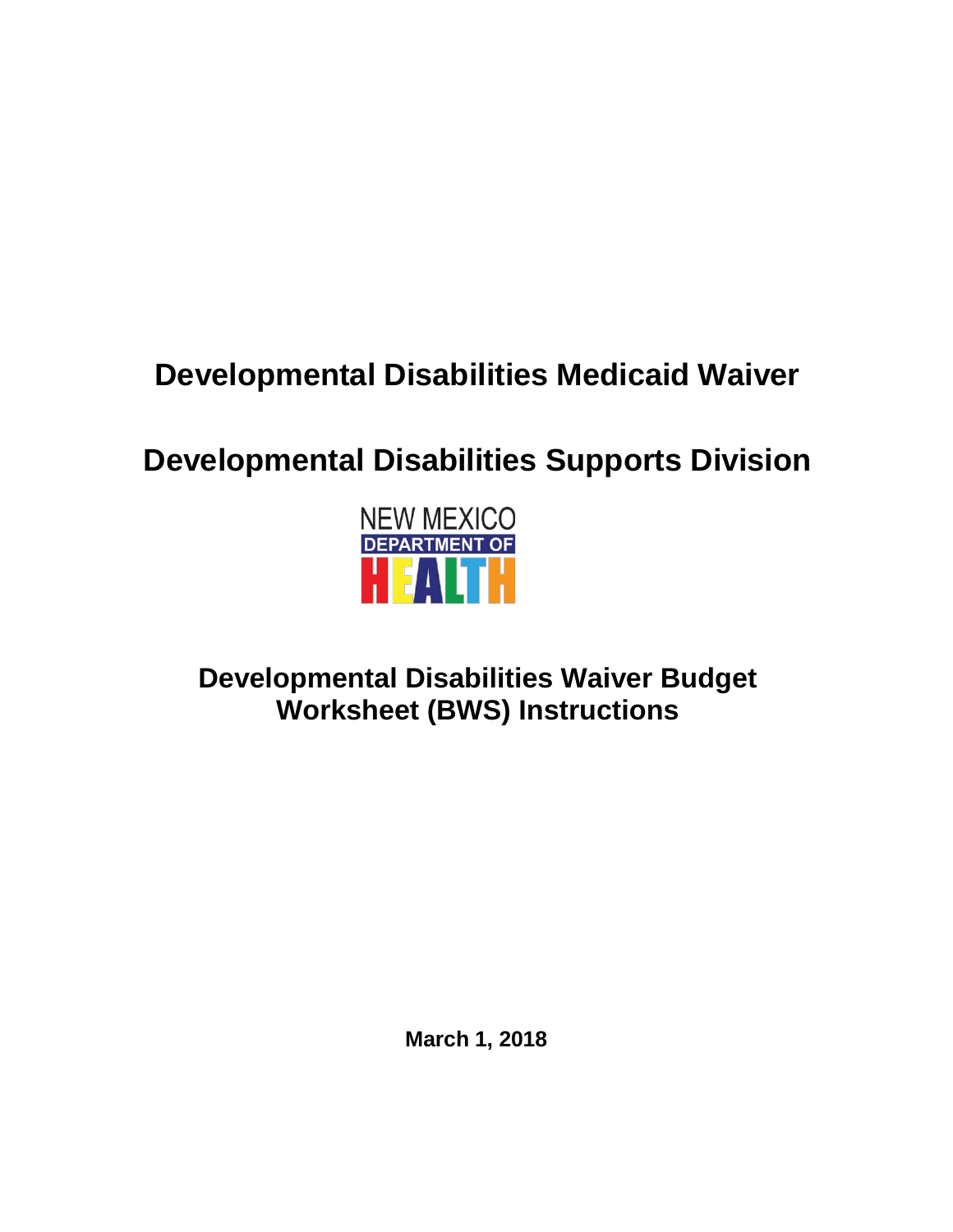# **Developmental Disabilities Medicaid Waiver**

# **Developmental Disabilities Supports Division**



## **Developmental Disabilities Waiver Budget Worksheet (BWS) Instructions**

**March 1, 2018**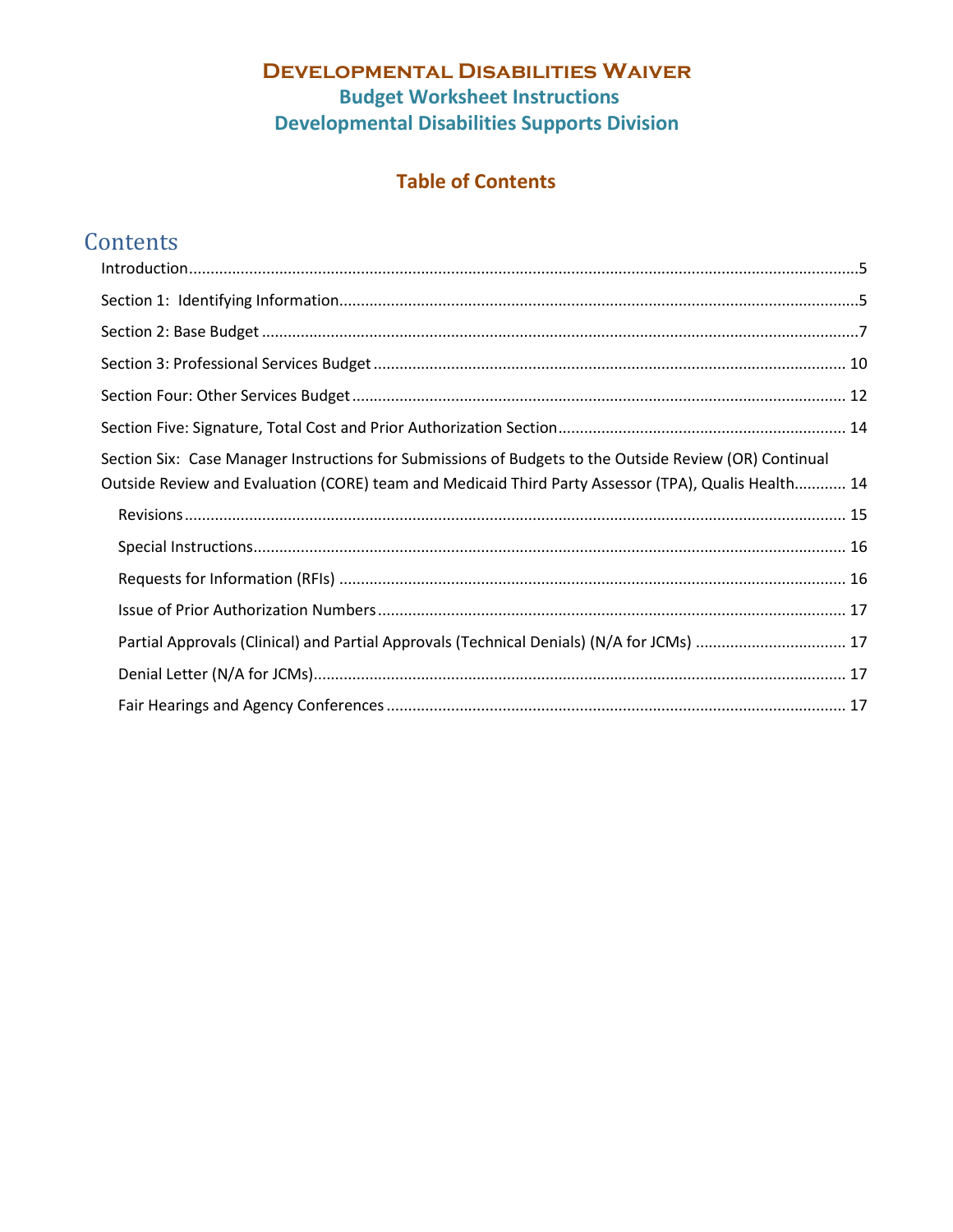## **Table of Contents**

## **Contents**

| Section Six: Case Manager Instructions for Submissions of Budgets to the Outside Review (OR) Continual<br>Outside Review and Evaluation (CORE) team and Medicaid Third Party Assessor (TPA), Qualis Health 14 |  |
|---------------------------------------------------------------------------------------------------------------------------------------------------------------------------------------------------------------|--|
|                                                                                                                                                                                                               |  |
|                                                                                                                                                                                                               |  |
|                                                                                                                                                                                                               |  |
|                                                                                                                                                                                                               |  |
| Partial Approvals (Clinical) and Partial Approvals (Technical Denials) (N/A for JCMs)  17                                                                                                                     |  |
|                                                                                                                                                                                                               |  |
|                                                                                                                                                                                                               |  |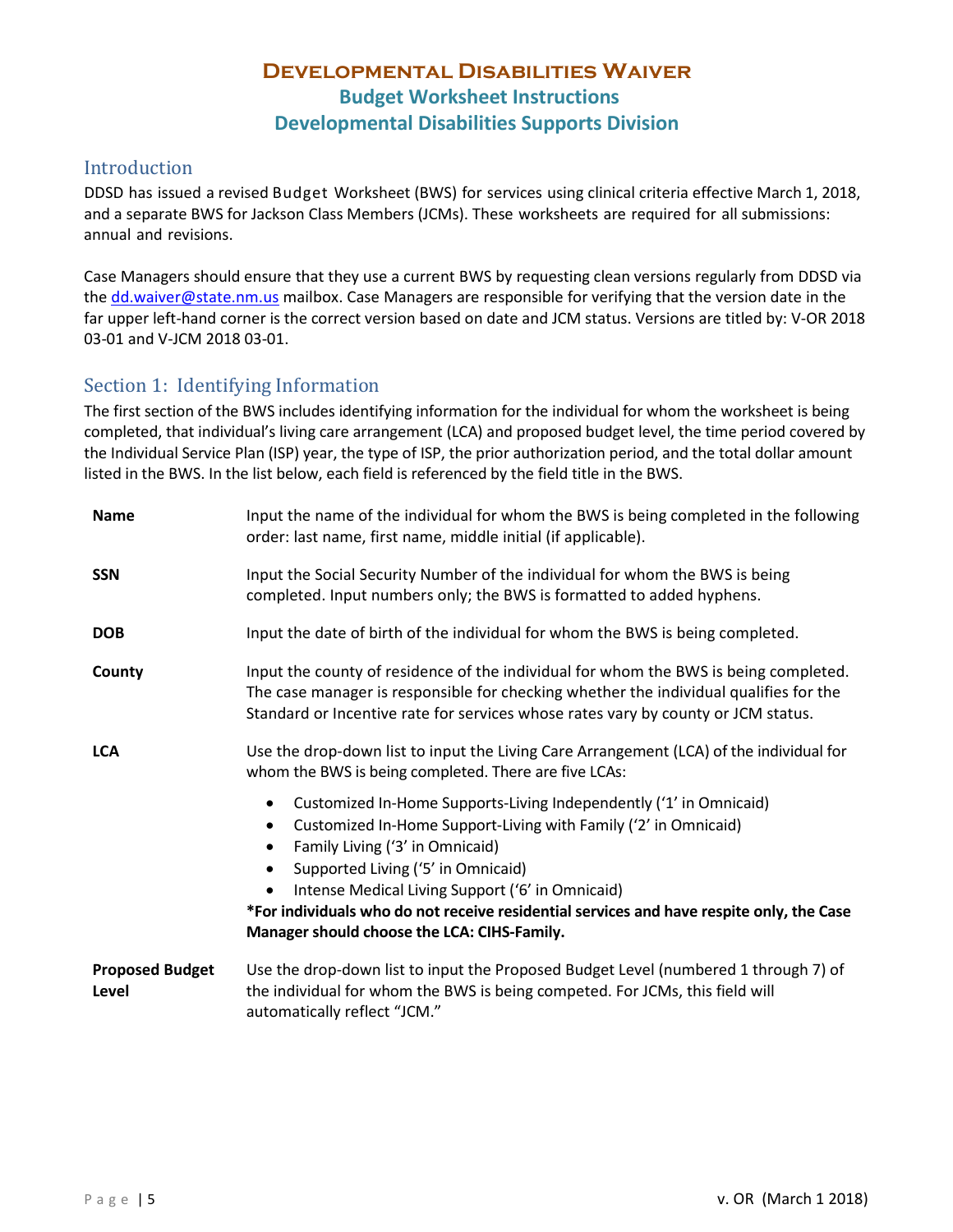#### <span id="page-2-0"></span>Introduction

DDSD has issued a revised Budget Worksheet (BWS) for services using clinical criteria effective March 1, 2018, and a separate BWS for Jackson Class Members (JCMs). These worksheets are required for all submissions: annual and revisions.

Case Managers should ensure that they use a current BWS by requesting clean versions regularly from DDSD via the [dd.waiver@state.nm.us](mailto:dd.waiver@state.nm.us) mailbox. Case Managers are responsible for verifying that the version date in the far upper left-hand corner is the correct version based on date and JCM status. Versions are titled by: V-OR 2018 03-01 and V-JCM 2018 03-01.

#### <span id="page-2-1"></span>Section 1: Identifying Information

The first section of the BWS includes identifying information for the individual for whom the worksheet is being completed, that individual's living care arrangement (LCA) and proposed budget level, the time period covered by the Individual Service Plan (ISP) year, the type of ISP, the prior authorization period, and the total dollar amount listed in the BWS. In the list below, each field is referenced by the field title in the BWS.

| <b>Name</b>                     | Input the name of the individual for whom the BWS is being completed in the following<br>order: last name, first name, middle initial (if applicable).                                                                                                                                                                                                                                                                                                    |
|---------------------------------|-----------------------------------------------------------------------------------------------------------------------------------------------------------------------------------------------------------------------------------------------------------------------------------------------------------------------------------------------------------------------------------------------------------------------------------------------------------|
| <b>SSN</b>                      | Input the Social Security Number of the individual for whom the BWS is being<br>completed. Input numbers only; the BWS is formatted to added hyphens.                                                                                                                                                                                                                                                                                                     |
| <b>DOB</b>                      | Input the date of birth of the individual for whom the BWS is being completed.                                                                                                                                                                                                                                                                                                                                                                            |
| County                          | Input the county of residence of the individual for whom the BWS is being completed.<br>The case manager is responsible for checking whether the individual qualifies for the<br>Standard or Incentive rate for services whose rates vary by county or JCM status.                                                                                                                                                                                        |
| <b>LCA</b>                      | Use the drop-down list to input the Living Care Arrangement (LCA) of the individual for<br>whom the BWS is being completed. There are five LCAs:                                                                                                                                                                                                                                                                                                          |
|                                 | Customized In-Home Supports-Living Independently ('1' in Omnicaid)<br>$\bullet$<br>Customized In-Home Support-Living with Family ('2' in Omnicaid)<br>$\bullet$<br>Family Living ('3' in Omnicaid)<br>٠<br>Supported Living ('5' in Omnicaid)<br>$\bullet$<br>Intense Medical Living Support ('6' in Omnicaid)<br>*For individuals who do not receive residential services and have respite only, the Case<br>Manager should choose the LCA: CIHS-Family. |
| <b>Proposed Budget</b><br>Level | Use the drop-down list to input the Proposed Budget Level (numbered 1 through 7) of<br>the individual for whom the BWS is being competed. For JCMs, this field will<br>automatically reflect "JCM."                                                                                                                                                                                                                                                       |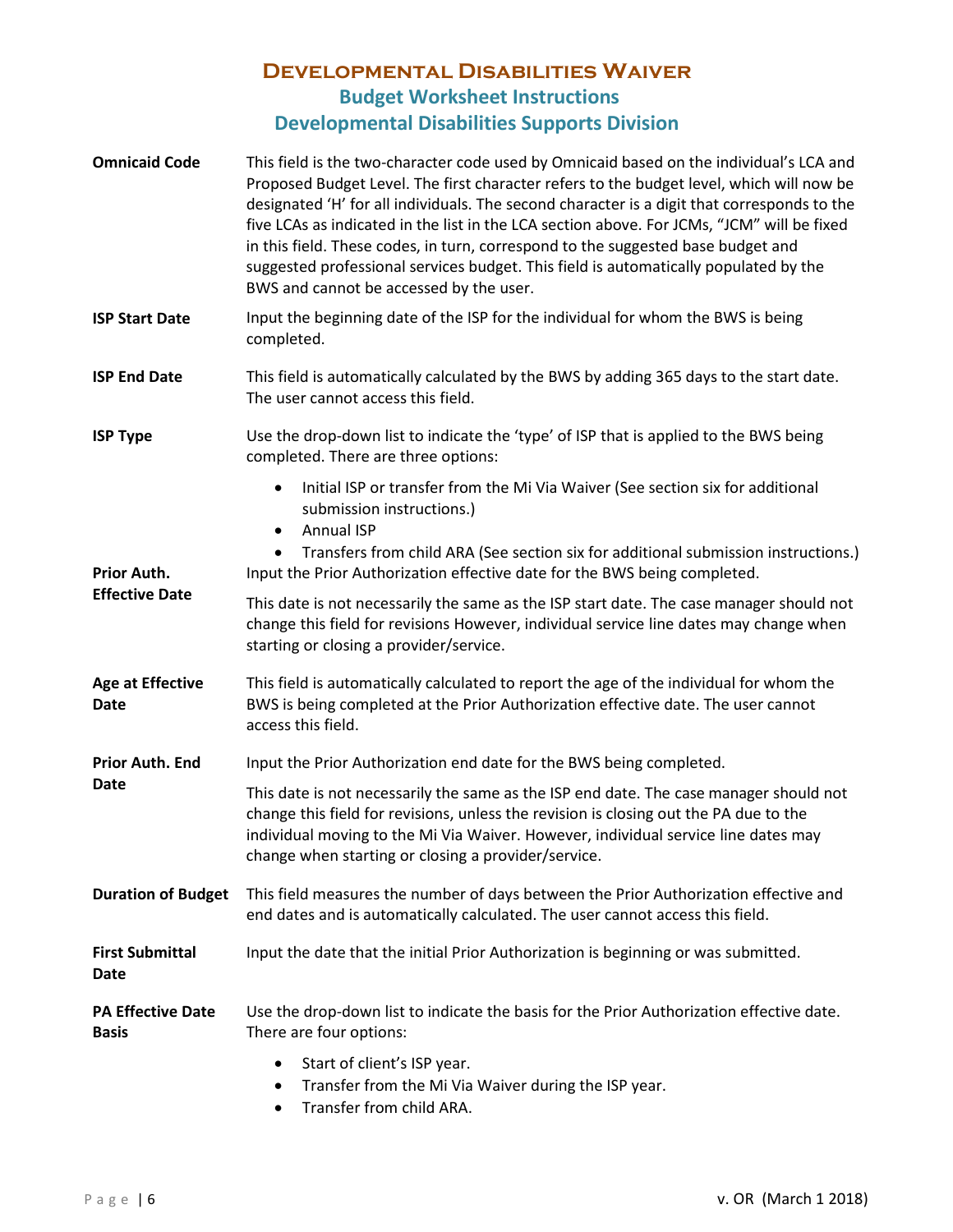| <b>Omnicaid Code</b>                     | This field is the two-character code used by Omnicaid based on the individual's LCA and<br>Proposed Budget Level. The first character refers to the budget level, which will now be<br>designated 'H' for all individuals. The second character is a digit that corresponds to the<br>five LCAs as indicated in the list in the LCA section above. For JCMs, "JCM" will be fixed<br>in this field. These codes, in turn, correspond to the suggested base budget and<br>suggested professional services budget. This field is automatically populated by the<br>BWS and cannot be accessed by the user. |  |
|------------------------------------------|---------------------------------------------------------------------------------------------------------------------------------------------------------------------------------------------------------------------------------------------------------------------------------------------------------------------------------------------------------------------------------------------------------------------------------------------------------------------------------------------------------------------------------------------------------------------------------------------------------|--|
| <b>ISP Start Date</b>                    | Input the beginning date of the ISP for the individual for whom the BWS is being<br>completed.                                                                                                                                                                                                                                                                                                                                                                                                                                                                                                          |  |
| <b>ISP End Date</b>                      | This field is automatically calculated by the BWS by adding 365 days to the start date.<br>The user cannot access this field.                                                                                                                                                                                                                                                                                                                                                                                                                                                                           |  |
| <b>ISP Type</b>                          | Use the drop-down list to indicate the 'type' of ISP that is applied to the BWS being<br>completed. There are three options:                                                                                                                                                                                                                                                                                                                                                                                                                                                                            |  |
|                                          | Initial ISP or transfer from the Mi Via Waiver (See section six for additional<br>$\bullet$<br>submission instructions.)<br><b>Annual ISP</b><br>$\bullet$<br>Transfers from child ARA (See section six for additional submission instructions.)<br>$\bullet$                                                                                                                                                                                                                                                                                                                                           |  |
| Prior Auth.<br><b>Effective Date</b>     | Input the Prior Authorization effective date for the BWS being completed.<br>This date is not necessarily the same as the ISP start date. The case manager should not<br>change this field for revisions However, individual service line dates may change when<br>starting or closing a provider/service.                                                                                                                                                                                                                                                                                              |  |
| <b>Age at Effective</b><br>Date          | This field is automatically calculated to report the age of the individual for whom the<br>BWS is being completed at the Prior Authorization effective date. The user cannot<br>access this field.                                                                                                                                                                                                                                                                                                                                                                                                      |  |
| <b>Prior Auth. End</b>                   | Input the Prior Authorization end date for the BWS being completed.                                                                                                                                                                                                                                                                                                                                                                                                                                                                                                                                     |  |
| <b>Date</b>                              | This date is not necessarily the same as the ISP end date. The case manager should not<br>change this field for revisions, unless the revision is closing out the PA due to the<br>individual moving to the Mi Via Waiver. However, individual service line dates may<br>change when starting or closing a provider/service.                                                                                                                                                                                                                                                                            |  |
| <b>Duration of Budget</b>                | This field measures the number of days between the Prior Authorization effective and<br>end dates and is automatically calculated. The user cannot access this field.                                                                                                                                                                                                                                                                                                                                                                                                                                   |  |
| <b>First Submittal</b><br>Date           | Input the date that the initial Prior Authorization is beginning or was submitted.                                                                                                                                                                                                                                                                                                                                                                                                                                                                                                                      |  |
| <b>PA Effective Date</b><br><b>Basis</b> | Use the drop-down list to indicate the basis for the Prior Authorization effective date.<br>There are four options:                                                                                                                                                                                                                                                                                                                                                                                                                                                                                     |  |
|                                          | Start of client's ISP year.<br>$\bullet$<br>Transfer from the Mi Via Waiver during the ISP year.<br>$\bullet$                                                                                                                                                                                                                                                                                                                                                                                                                                                                                           |  |

• Transfer from child ARA.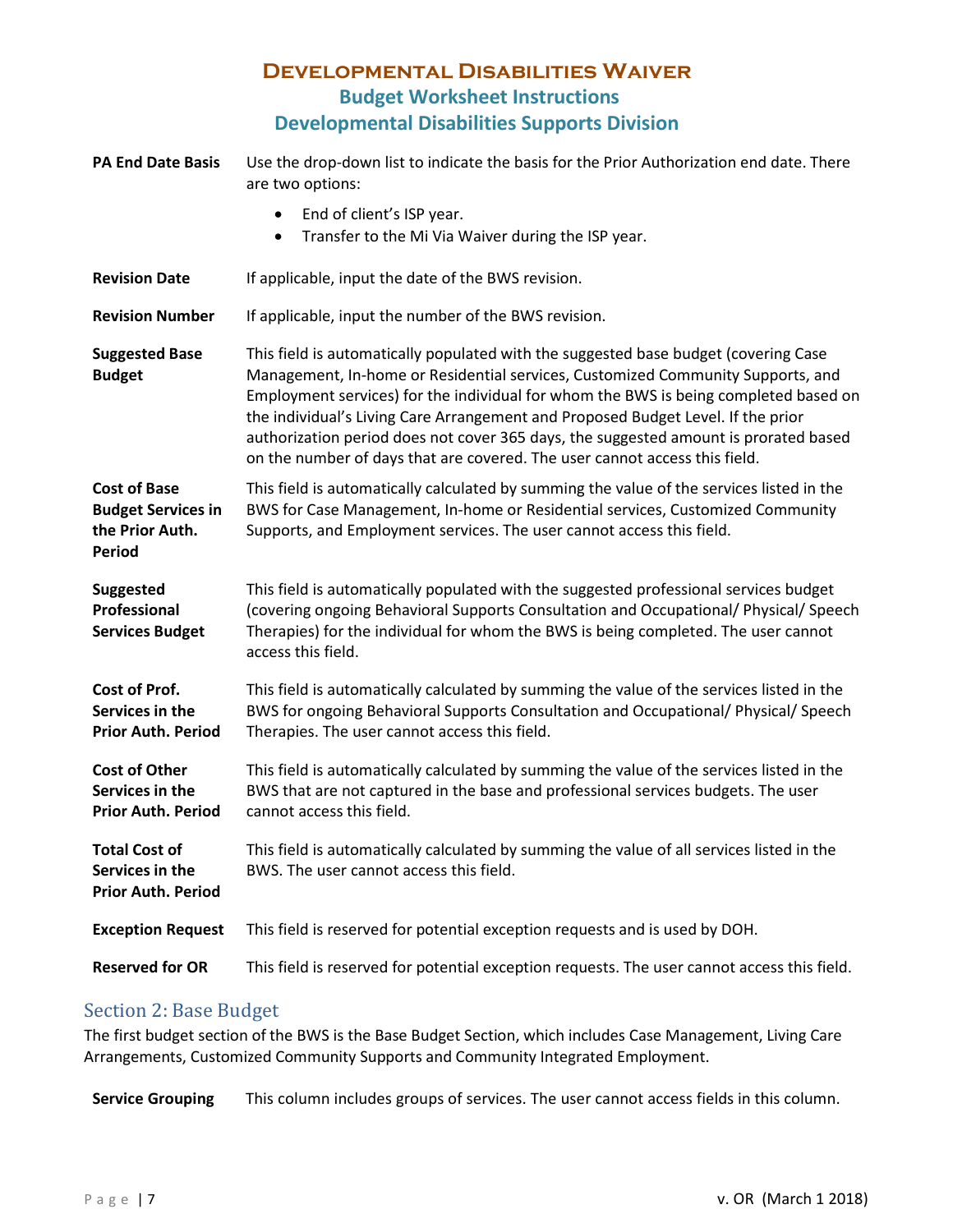| <b>PA End Date Basis</b>                                                             | Use the drop-down list to indicate the basis for the Prior Authorization end date. There<br>are two options:                                                                                                                                                                                                                                                                                                                                                                                                             |
|--------------------------------------------------------------------------------------|--------------------------------------------------------------------------------------------------------------------------------------------------------------------------------------------------------------------------------------------------------------------------------------------------------------------------------------------------------------------------------------------------------------------------------------------------------------------------------------------------------------------------|
|                                                                                      | End of client's ISP year.<br>$\bullet$<br>Transfer to the Mi Via Waiver during the ISP year.<br>٠                                                                                                                                                                                                                                                                                                                                                                                                                        |
| <b>Revision Date</b>                                                                 | If applicable, input the date of the BWS revision.                                                                                                                                                                                                                                                                                                                                                                                                                                                                       |
| <b>Revision Number</b>                                                               | If applicable, input the number of the BWS revision.                                                                                                                                                                                                                                                                                                                                                                                                                                                                     |
| <b>Suggested Base</b><br><b>Budget</b>                                               | This field is automatically populated with the suggested base budget (covering Case<br>Management, In-home or Residential services, Customized Community Supports, and<br>Employment services) for the individual for whom the BWS is being completed based on<br>the individual's Living Care Arrangement and Proposed Budget Level. If the prior<br>authorization period does not cover 365 days, the suggested amount is prorated based<br>on the number of days that are covered. The user cannot access this field. |
| <b>Cost of Base</b><br><b>Budget Services in</b><br>the Prior Auth.<br><b>Period</b> | This field is automatically calculated by summing the value of the services listed in the<br>BWS for Case Management, In-home or Residential services, Customized Community<br>Supports, and Employment services. The user cannot access this field.                                                                                                                                                                                                                                                                     |
| <b>Suggested</b><br>Professional<br><b>Services Budget</b>                           | This field is automatically populated with the suggested professional services budget<br>(covering ongoing Behavioral Supports Consultation and Occupational/ Physical/ Speech<br>Therapies) for the individual for whom the BWS is being completed. The user cannot<br>access this field.                                                                                                                                                                                                                               |
| Cost of Prof.<br>Services in the<br><b>Prior Auth. Period</b>                        | This field is automatically calculated by summing the value of the services listed in the<br>BWS for ongoing Behavioral Supports Consultation and Occupational/ Physical/ Speech<br>Therapies. The user cannot access this field.                                                                                                                                                                                                                                                                                        |
| <b>Cost of Other</b><br>Services in the<br><b>Prior Auth. Period</b>                 | This field is automatically calculated by summing the value of the services listed in the<br>BWS that are not captured in the base and professional services budgets. The user<br>cannot access this field.                                                                                                                                                                                                                                                                                                              |
| <b>Total Cost of</b><br>Services in the<br><b>Prior Auth. Period</b>                 | This field is automatically calculated by summing the value of all services listed in the<br>BWS. The user cannot access this field.                                                                                                                                                                                                                                                                                                                                                                                     |
| <b>Exception Request</b>                                                             | This field is reserved for potential exception requests and is used by DOH.                                                                                                                                                                                                                                                                                                                                                                                                                                              |
| <b>Reserved for OR</b>                                                               | This field is reserved for potential exception requests. The user cannot access this field.                                                                                                                                                                                                                                                                                                                                                                                                                              |

#### <span id="page-4-0"></span>Section 2: Base Budget

The first budget section of the BWS is the Base Budget Section, which includes Case Management, Living Care Arrangements, Customized Community Supports and Community Integrated Employment.

**Service Grouping** This column includes groups of services. The user cannot access fields in this column.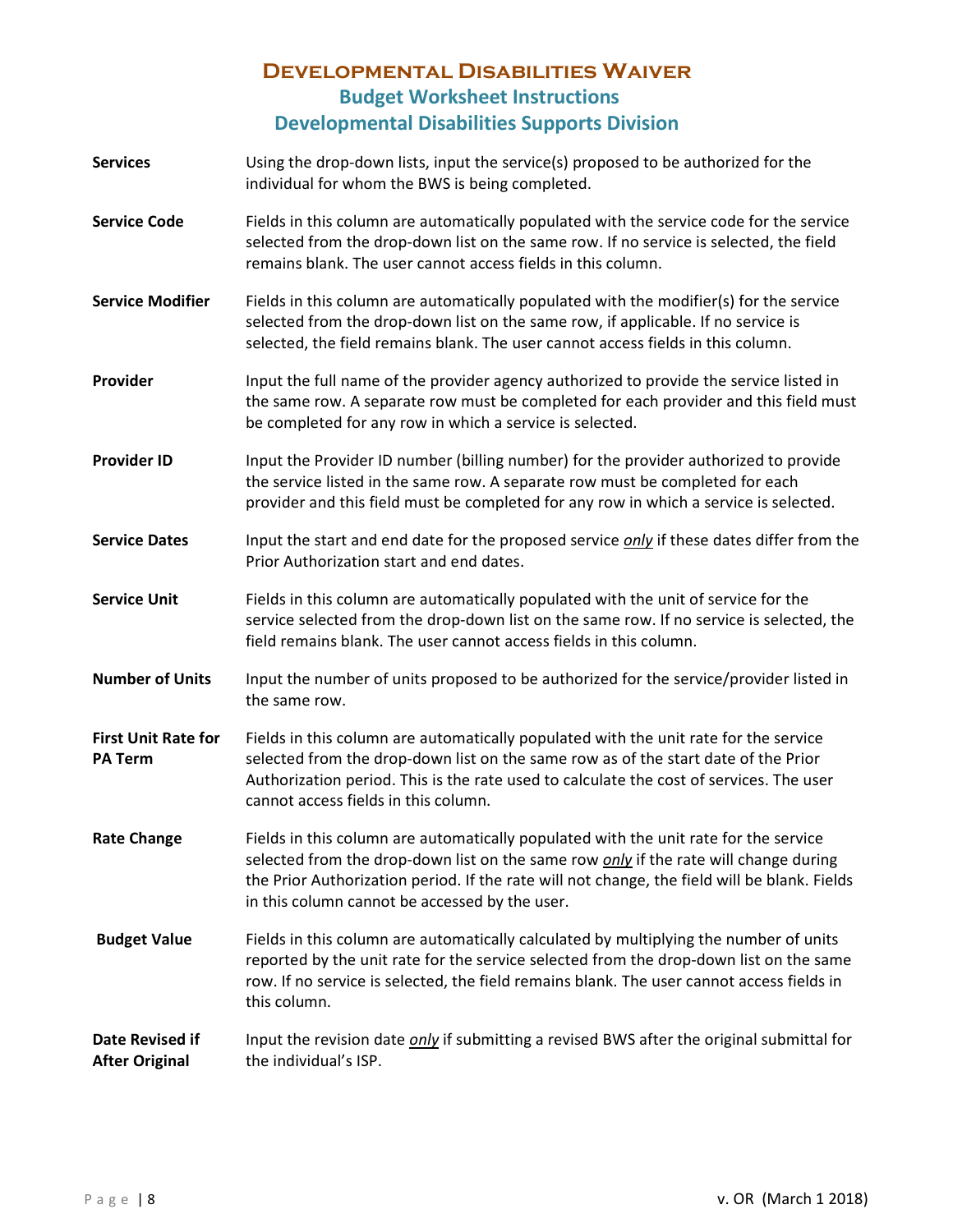- **Services** Using the drop-down lists, input the service(s) proposed to be authorized for the individual for whom the BWS is being completed.
- **Service Code** Fields in this column are automatically populated with the service code for the service selected from the drop-down list on the same row. If no service is selected, the field remains blank. The user cannot access fields in this column.
- **Service Modifier** Fields in this column are automatically populated with the modifier(s) for the service selected from the drop-down list on the same row, if applicable. If no service is selected, the field remains blank. The user cannot access fields in this column.
- **Provider** Input the full name of the provider agency authorized to provide the service listed in the same row. A separate row must be completed for each provider and this field must be completed for any row in which a service is selected.
- **Provider ID** Input the Provider ID number (billing number) for the provider authorized to provide the service listed in the same row. A separate row must be completed for each provider and this field must be completed for any row in which a service is selected.
- **Service Dates** Input the start and end date for the proposed service *only* if these dates differ from the Prior Authorization start and end dates.
- **Service Unit** Fields in this column are automatically populated with the unit of service for the service selected from the drop-down list on the same row. If no service is selected, the field remains blank. The user cannot access fields in this column.
- **Number of Units** Input the number of units proposed to be authorized for the service/provider listed in the same row.
- **First Unit Rate for PA Term** Fields in this column are automatically populated with the unit rate for the service selected from the drop-down list on the same row as of the start date of the Prior Authorization period. This is the rate used to calculate the cost of services. The user cannot access fields in this column.
- Rate Change **Fields in this column are automatically populated with the unit rate for the service** selected from the drop-down list on the same row *only* if the rate will change during the Prior Authorization period. If the rate will not change, the field will be blank. Fields in this column cannot be accessed by the user.
- **Budget Value** Fields in this column are automatically calculated by multiplying the number of units reported by the unit rate for the service selected from the drop-down list on the same row. If no service is selected, the field remains blank. The user cannot access fields in this column.
- **Date Revised if After Original** Input the revision date *only* if submitting a revised BWS after the original submittal for the individual's ISP.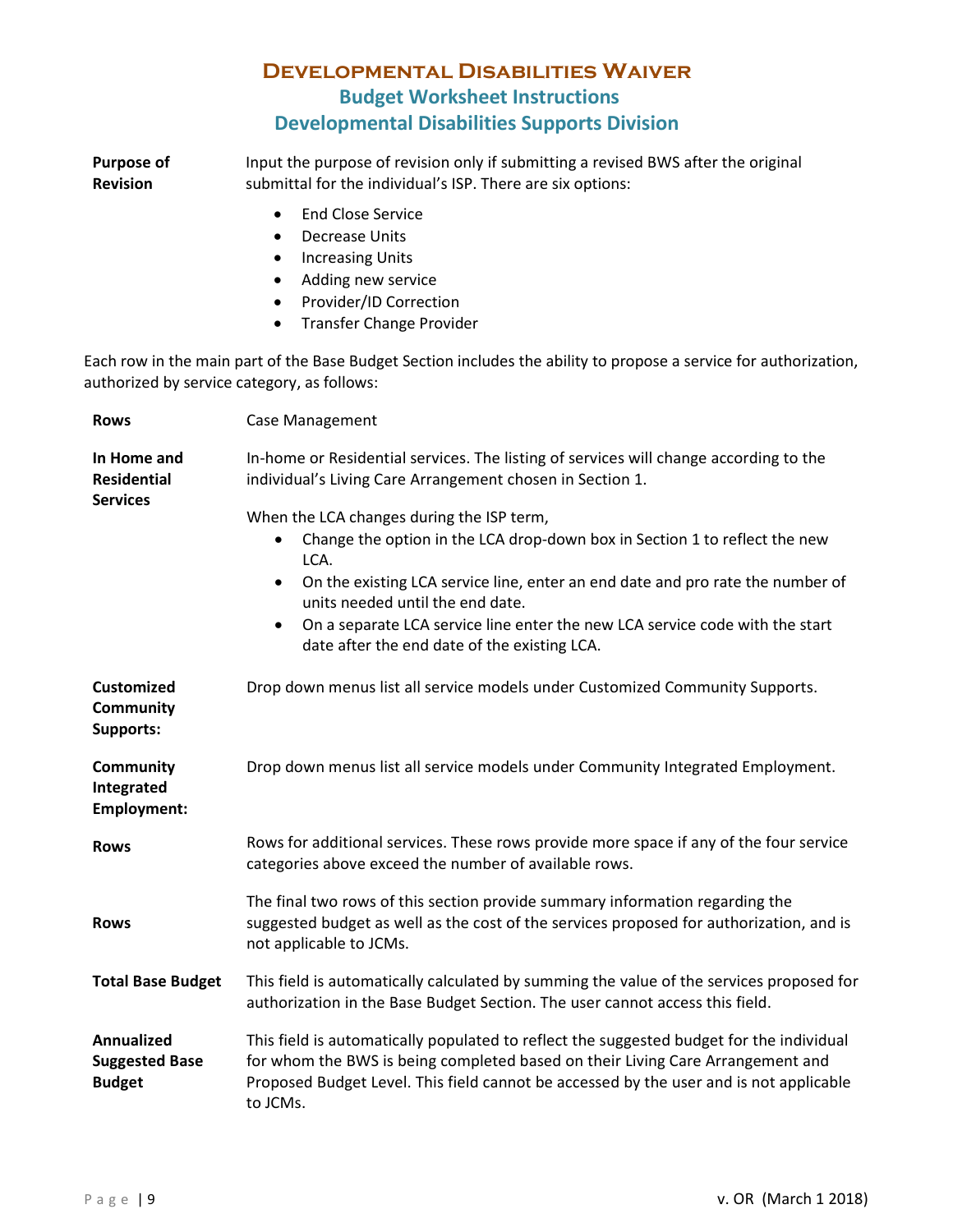**Purpose of Revision**  Input the purpose of revision only if submitting a revised BWS after the original submittal for the individual's ISP. There are six options:

- End Close Service
- Decrease Units
- Increasing Units
- Adding new service
- Provider/ID Correction
- Transfer Change Provider

Each row in the main part of the Base Budget Section includes the ability to propose a service for authorization, authorized by service category, as follows:

| <b>Rows</b>                                          | <b>Case Management</b>                                                                                                                                                                                                                                                                                                                                                                                                       |  |
|------------------------------------------------------|------------------------------------------------------------------------------------------------------------------------------------------------------------------------------------------------------------------------------------------------------------------------------------------------------------------------------------------------------------------------------------------------------------------------------|--|
| In Home and<br><b>Residential</b>                    | In-home or Residential services. The listing of services will change according to the<br>individual's Living Care Arrangement chosen in Section 1.                                                                                                                                                                                                                                                                           |  |
| <b>Services</b>                                      | When the LCA changes during the ISP term,<br>Change the option in the LCA drop-down box in Section 1 to reflect the new<br>$\bullet$<br>LCA.<br>On the existing LCA service line, enter an end date and pro rate the number of<br>$\bullet$<br>units needed until the end date.<br>On a separate LCA service line enter the new LCA service code with the start<br>$\bullet$<br>date after the end date of the existing LCA. |  |
| <b>Customized</b><br>Community<br>Supports:          | Drop down menus list all service models under Customized Community Supports.                                                                                                                                                                                                                                                                                                                                                 |  |
| <b>Community</b><br>Integrated<br><b>Employment:</b> | Drop down menus list all service models under Community Integrated Employment.                                                                                                                                                                                                                                                                                                                                               |  |
| <b>Rows</b>                                          | Rows for additional services. These rows provide more space if any of the four service<br>categories above exceed the number of available rows.                                                                                                                                                                                                                                                                              |  |
| <b>Rows</b>                                          | The final two rows of this section provide summary information regarding the<br>suggested budget as well as the cost of the services proposed for authorization, and is<br>not applicable to JCMs.                                                                                                                                                                                                                           |  |
| <b>Total Base Budget</b>                             | This field is automatically calculated by summing the value of the services proposed for<br>authorization in the Base Budget Section. The user cannot access this field.                                                                                                                                                                                                                                                     |  |
| Annualized<br><b>Suggested Base</b><br><b>Budget</b> | This field is automatically populated to reflect the suggested budget for the individual<br>for whom the BWS is being completed based on their Living Care Arrangement and<br>Proposed Budget Level. This field cannot be accessed by the user and is not applicable<br>to JCMs.                                                                                                                                             |  |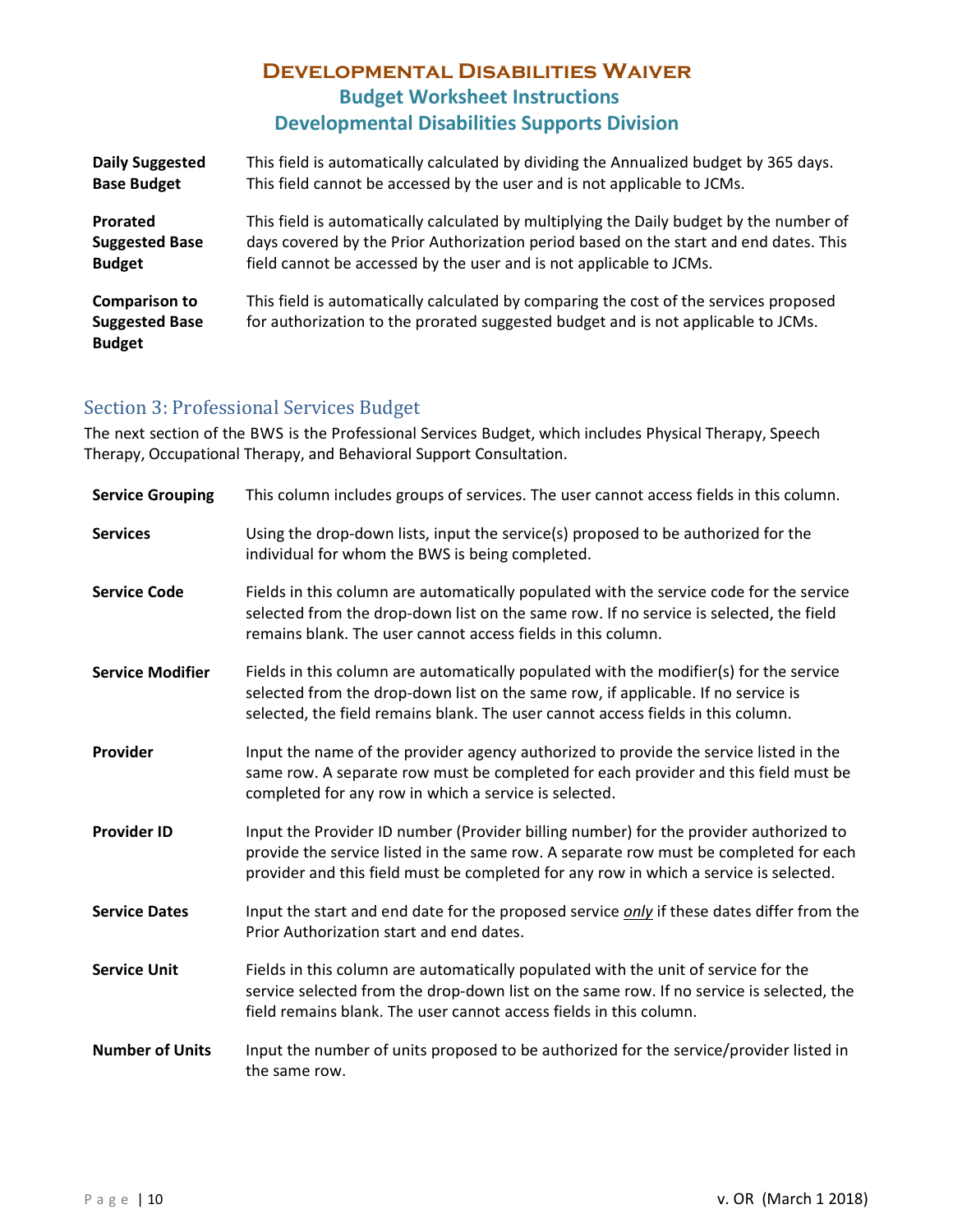| <b>Daily Suggested</b>                                         | This field is automatically calculated by dividing the Annualized budget by 365 days.                                                                                      |
|----------------------------------------------------------------|----------------------------------------------------------------------------------------------------------------------------------------------------------------------------|
| <b>Base Budget</b>                                             | This field cannot be accessed by the user and is not applicable to JCMs.                                                                                                   |
| Prorated                                                       | This field is automatically calculated by multiplying the Daily budget by the number of                                                                                    |
| <b>Suggested Base</b>                                          | days covered by the Prior Authorization period based on the start and end dates. This                                                                                      |
| <b>Budget</b>                                                  | field cannot be accessed by the user and is not applicable to JCMs.                                                                                                        |
| <b>Comparison to</b><br><b>Suggested Base</b><br><b>Budget</b> | This field is automatically calculated by comparing the cost of the services proposed<br>for authorization to the prorated suggested budget and is not applicable to JCMs. |

#### <span id="page-7-0"></span>Section 3: Professional Services Budget

The next section of the BWS is the Professional Services Budget, which includes Physical Therapy, Speech Therapy, Occupational Therapy, and Behavioral Support Consultation.

| <b>Service Grouping</b> | This column includes groups of services. The user cannot access fields in this column.                                                                                                                                                                                  |
|-------------------------|-------------------------------------------------------------------------------------------------------------------------------------------------------------------------------------------------------------------------------------------------------------------------|
| <b>Services</b>         | Using the drop-down lists, input the service(s) proposed to be authorized for the<br>individual for whom the BWS is being completed.                                                                                                                                    |
| <b>Service Code</b>     | Fields in this column are automatically populated with the service code for the service<br>selected from the drop-down list on the same row. If no service is selected, the field<br>remains blank. The user cannot access fields in this column.                       |
| <b>Service Modifier</b> | Fields in this column are automatically populated with the modifier(s) for the service<br>selected from the drop-down list on the same row, if applicable. If no service is<br>selected, the field remains blank. The user cannot access fields in this column.         |
| Provider                | Input the name of the provider agency authorized to provide the service listed in the<br>same row. A separate row must be completed for each provider and this field must be<br>completed for any row in which a service is selected.                                   |
| <b>Provider ID</b>      | Input the Provider ID number (Provider billing number) for the provider authorized to<br>provide the service listed in the same row. A separate row must be completed for each<br>provider and this field must be completed for any row in which a service is selected. |
| <b>Service Dates</b>    | Input the start and end date for the proposed service <i>only</i> if these dates differ from the<br>Prior Authorization start and end dates.                                                                                                                            |
| <b>Service Unit</b>     | Fields in this column are automatically populated with the unit of service for the<br>service selected from the drop-down list on the same row. If no service is selected, the<br>field remains blank. The user cannot access fields in this column.                    |
| <b>Number of Units</b>  | Input the number of units proposed to be authorized for the service/provider listed in<br>the same row.                                                                                                                                                                 |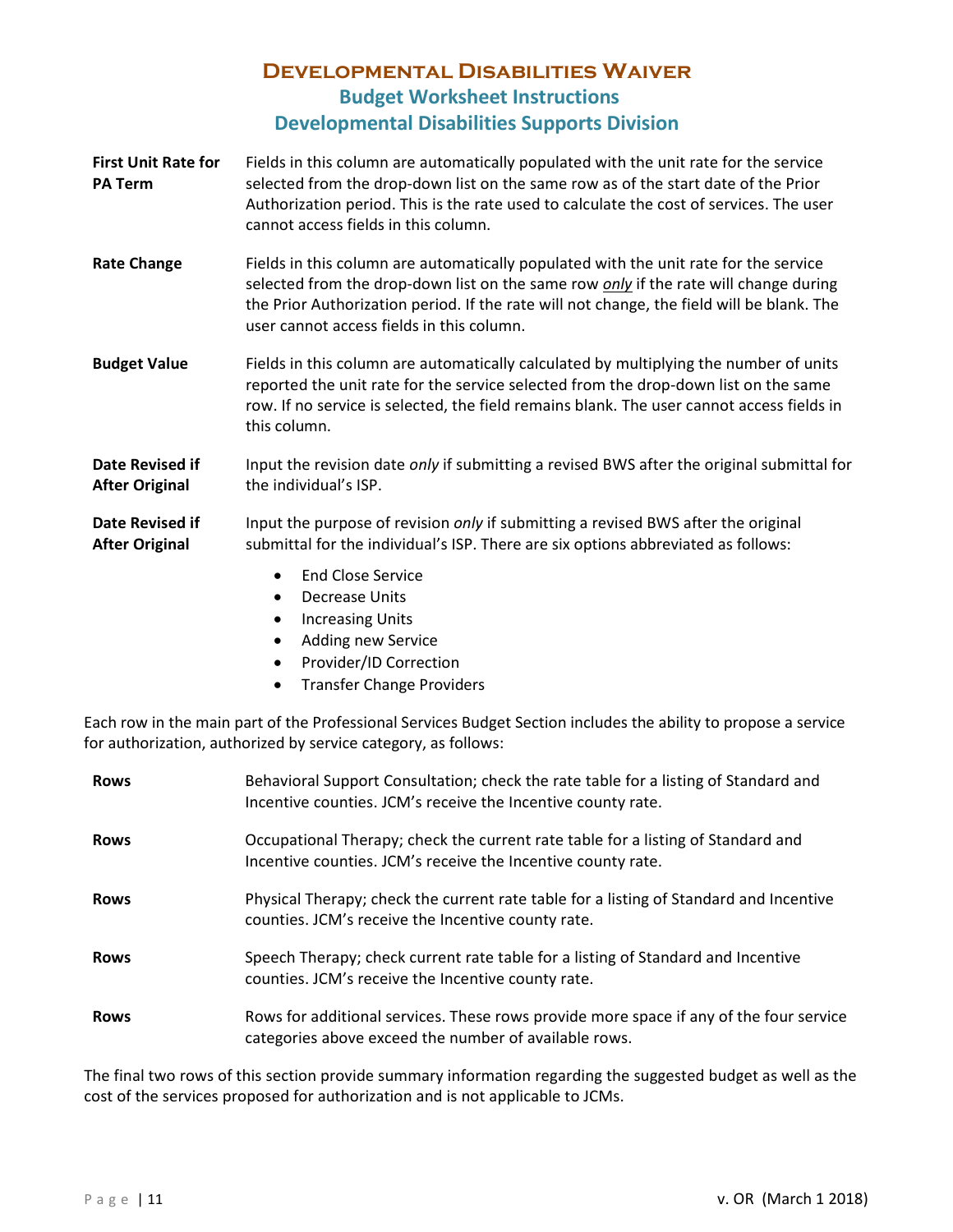- **First Unit Rate for PA Term** Fields in this column are automatically populated with the unit rate for the service selected from the drop-down list on the same row as of the start date of the Prior Authorization period. This is the rate used to calculate the cost of services. The user cannot access fields in this column.
- **Rate Change** Fields in this column are automatically populated with the unit rate for the service selected from the drop-down list on the same row *only* if the rate will change during the Prior Authorization period. If the rate will not change, the field will be blank. The user cannot access fields in this column.
- **Budget Value** Fields in this column are automatically calculated by multiplying the number of units reported the unit rate for the service selected from the drop-down list on the same row. If no service is selected, the field remains blank. The user cannot access fields in this column.

**Date Revised if After Original** Input the revision date *only* if submitting a revised BWS after the original submittal for the individual's ISP.

- **Date Revised if After Original** Input the purpose of revision *only* if submitting a revised BWS after the original submittal for the individual's ISP. There are six options abbreviated as follows:
	- End Close Service
	- Decrease Units
	- Increasing Units
	- Adding new Service
	- Provider/ID Correction
	- Transfer Change Providers

Each row in the main part of the Professional Services Budget Section includes the ability to propose a service for authorization, authorized by service category, as follows:

| <b>Rows</b> | Behavioral Support Consultation; check the rate table for a listing of Standard and<br>Incentive counties. JCM's receive the Incentive county rate. |
|-------------|-----------------------------------------------------------------------------------------------------------------------------------------------------|
| <b>Rows</b> | Occupational Therapy; check the current rate table for a listing of Standard and<br>Incentive counties. JCM's receive the Incentive county rate.    |
| <b>Rows</b> | Physical Therapy; check the current rate table for a listing of Standard and Incentive<br>counties. JCM's receive the Incentive county rate.        |
| <b>Rows</b> | Speech Therapy; check current rate table for a listing of Standard and Incentive<br>counties. JCM's receive the Incentive county rate.              |
| <b>Rows</b> | Rows for additional services. These rows provide more space if any of the four service<br>categories above exceed the number of available rows.     |

The final two rows of this section provide summary information regarding the suggested budget as well as the cost of the services proposed for authorization and is not applicable to JCMs.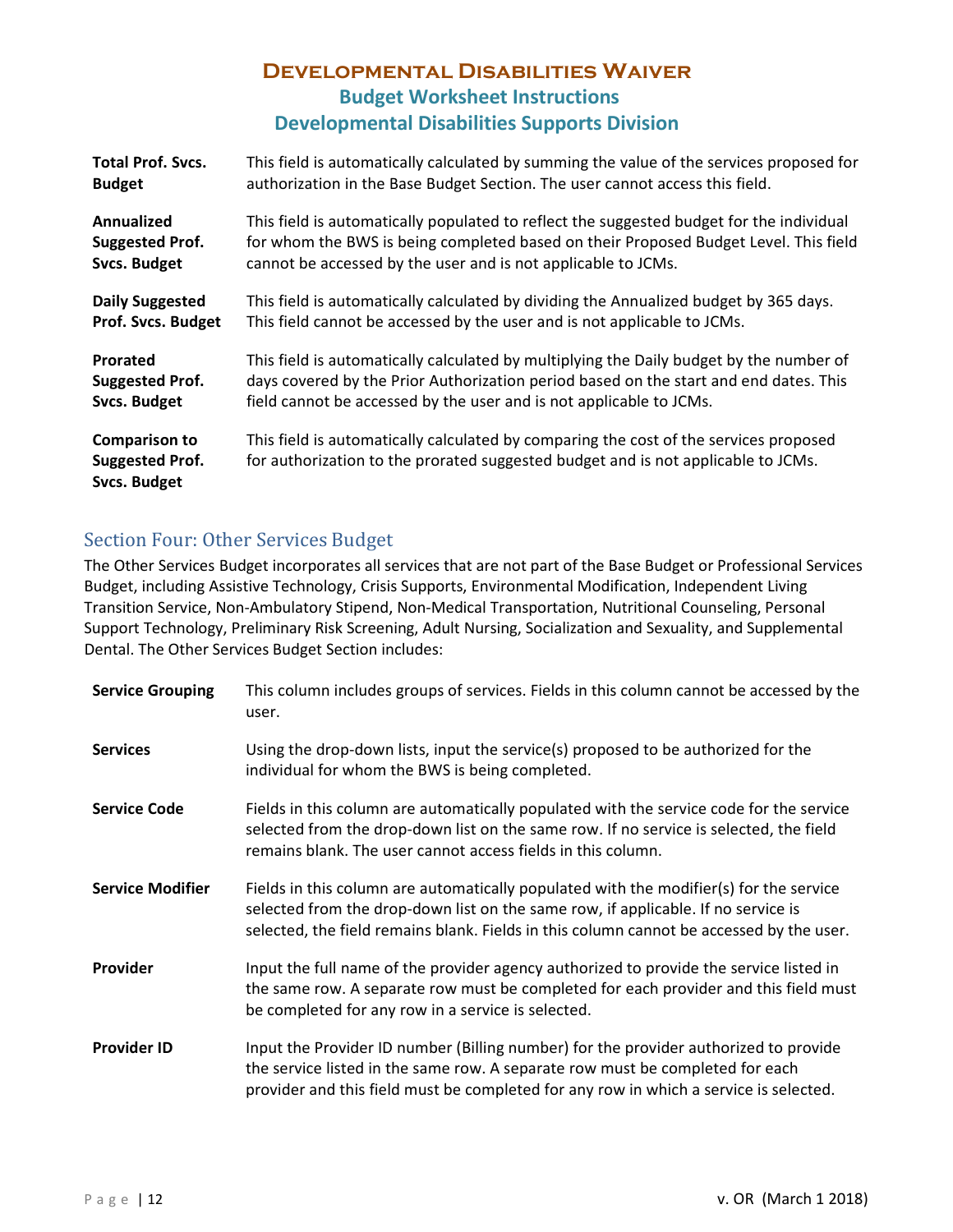| <b>Total Prof. Svcs.</b>                                              | This field is automatically calculated by summing the value of the services proposed for                                                                                   |
|-----------------------------------------------------------------------|----------------------------------------------------------------------------------------------------------------------------------------------------------------------------|
| <b>Budget</b>                                                         | authorization in the Base Budget Section. The user cannot access this field.                                                                                               |
| Annualized                                                            | This field is automatically populated to reflect the suggested budget for the individual                                                                                   |
| <b>Suggested Prof.</b>                                                | for whom the BWS is being completed based on their Proposed Budget Level. This field                                                                                       |
| <b>Svcs. Budget</b>                                                   | cannot be accessed by the user and is not applicable to JCMs.                                                                                                              |
| <b>Daily Suggested</b>                                                | This field is automatically calculated by dividing the Annualized budget by 365 days.                                                                                      |
| <b>Prof. Svcs. Budget</b>                                             | This field cannot be accessed by the user and is not applicable to JCMs.                                                                                                   |
| Prorated                                                              | This field is automatically calculated by multiplying the Daily budget by the number of                                                                                    |
| <b>Suggested Prof.</b>                                                | days covered by the Prior Authorization period based on the start and end dates. This                                                                                      |
| <b>Svcs. Budget</b>                                                   | field cannot be accessed by the user and is not applicable to JCMs.                                                                                                        |
| <b>Comparison to</b><br><b>Suggested Prof.</b><br><b>Svcs. Budget</b> | This field is automatically calculated by comparing the cost of the services proposed<br>for authorization to the prorated suggested budget and is not applicable to JCMs. |

#### <span id="page-9-0"></span>Section Four: Other Services Budget

The Other Services Budget incorporates all services that are not part of the Base Budget or Professional Services Budget, including Assistive Technology, Crisis Supports, Environmental Modification, Independent Living Transition Service, Non-Ambulatory Stipend, Non-Medical Transportation, Nutritional Counseling, Personal Support Technology, Preliminary Risk Screening, Adult Nursing, Socialization and Sexuality, and Supplemental Dental. The Other Services Budget Section includes:

| <b>Service Grouping</b> | This column includes groups of services. Fields in this column cannot be accessed by the<br>user.                                                                                                                                                                       |
|-------------------------|-------------------------------------------------------------------------------------------------------------------------------------------------------------------------------------------------------------------------------------------------------------------------|
| <b>Services</b>         | Using the drop-down lists, input the service(s) proposed to be authorized for the<br>individual for whom the BWS is being completed.                                                                                                                                    |
| <b>Service Code</b>     | Fields in this column are automatically populated with the service code for the service<br>selected from the drop-down list on the same row. If no service is selected, the field<br>remains blank. The user cannot access fields in this column.                       |
| <b>Service Modifier</b> | Fields in this column are automatically populated with the modifier(s) for the service<br>selected from the drop-down list on the same row, if applicable. If no service is<br>selected, the field remains blank. Fields in this column cannot be accessed by the user. |
| Provider                | Input the full name of the provider agency authorized to provide the service listed in<br>the same row. A separate row must be completed for each provider and this field must<br>be completed for any row in a service is selected.                                    |
| <b>Provider ID</b>      | Input the Provider ID number (Billing number) for the provider authorized to provide<br>the service listed in the same row. A separate row must be completed for each<br>provider and this field must be completed for any row in which a service is selected.          |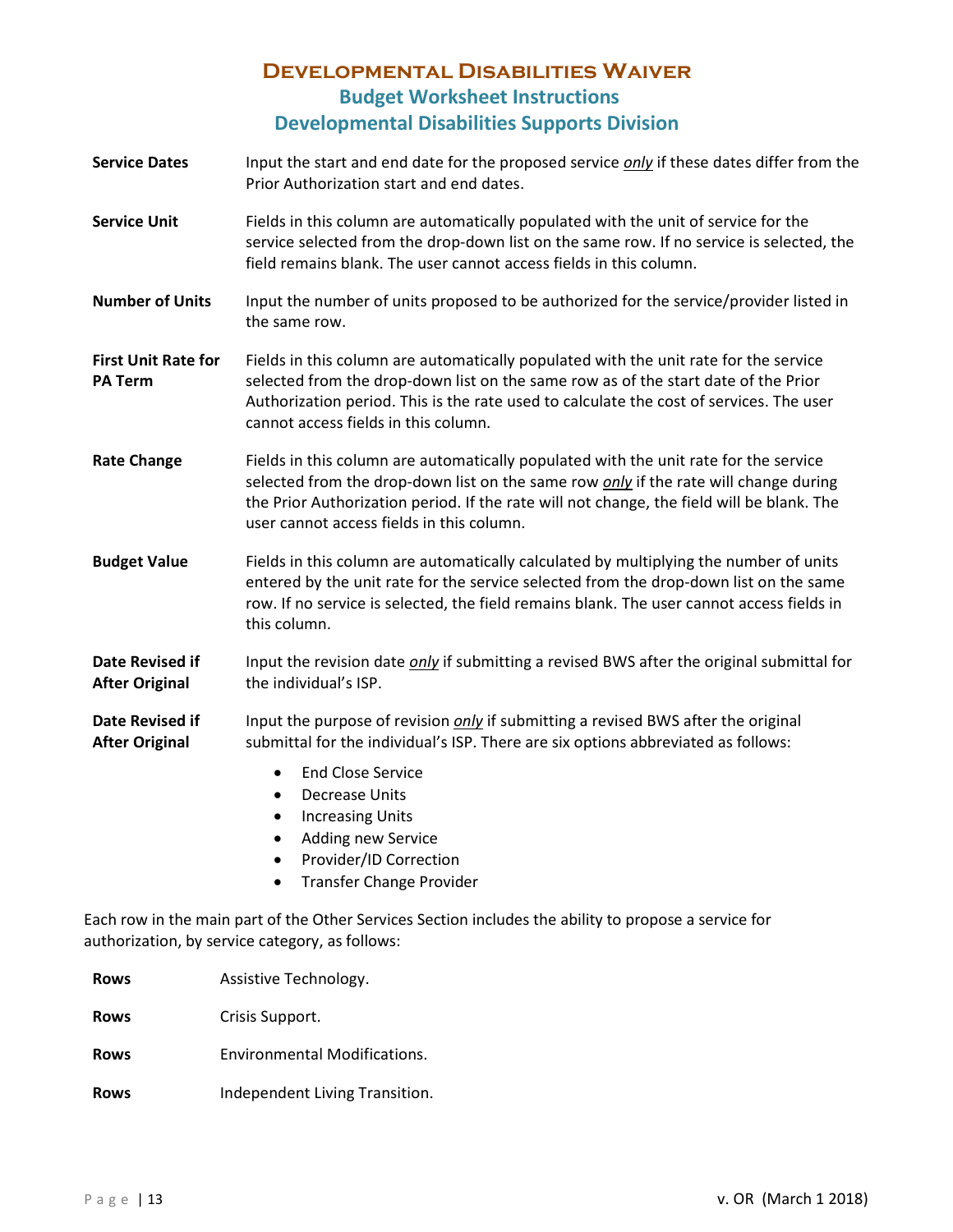- **Service Dates** Input the start and end date for the proposed service *only* if these dates differ from the Prior Authorization start and end dates.
- **Service Unit** Fields in this column are automatically populated with the unit of service for the service selected from the drop-down list on the same row. If no service is selected, the field remains blank. The user cannot access fields in this column.
- **Number of Units** Input the number of units proposed to be authorized for the service/provider listed in the same row.
- **First Unit Rate for PA Term** Fields in this column are automatically populated with the unit rate for the service selected from the drop-down list on the same row as of the start date of the Prior Authorization period. This is the rate used to calculate the cost of services. The user cannot access fields in this column.
- Rate Change **Fields in this column are automatically populated with the unit rate for the service** selected from the drop-down list on the same row *only* if the rate will change during the Prior Authorization period. If the rate will not change, the field will be blank. The user cannot access fields in this column.
- **Budget Value** Fields in this column are automatically calculated by multiplying the number of units entered by the unit rate for the service selected from the drop-down list on the same row. If no service is selected, the field remains blank. The user cannot access fields in this column.

**Date Revised if After Original** Input the revision date *only* if submitting a revised BWS after the original submittal for the individual's ISP.

- **Date Revised if After Original** Input the purpose of revision *only* if submitting a revised BWS after the original submittal for the individual's ISP. There are six options abbreviated as follows:
	- End Close Service
	- Decrease Units
	- Increasing Units
	- Adding new Service
	- Provider/ID Correction
	- Transfer Change Provider

Each row in the main part of the Other Services Section includes the ability to propose a service for authorization, by service category, as follows:

| <b>Rows</b> | Assistive Technology.          |
|-------------|--------------------------------|
| <b>Rows</b> | Crisis Support.                |
| <b>Rows</b> | Environmental Modifications.   |
| <b>Rows</b> | Independent Living Transition. |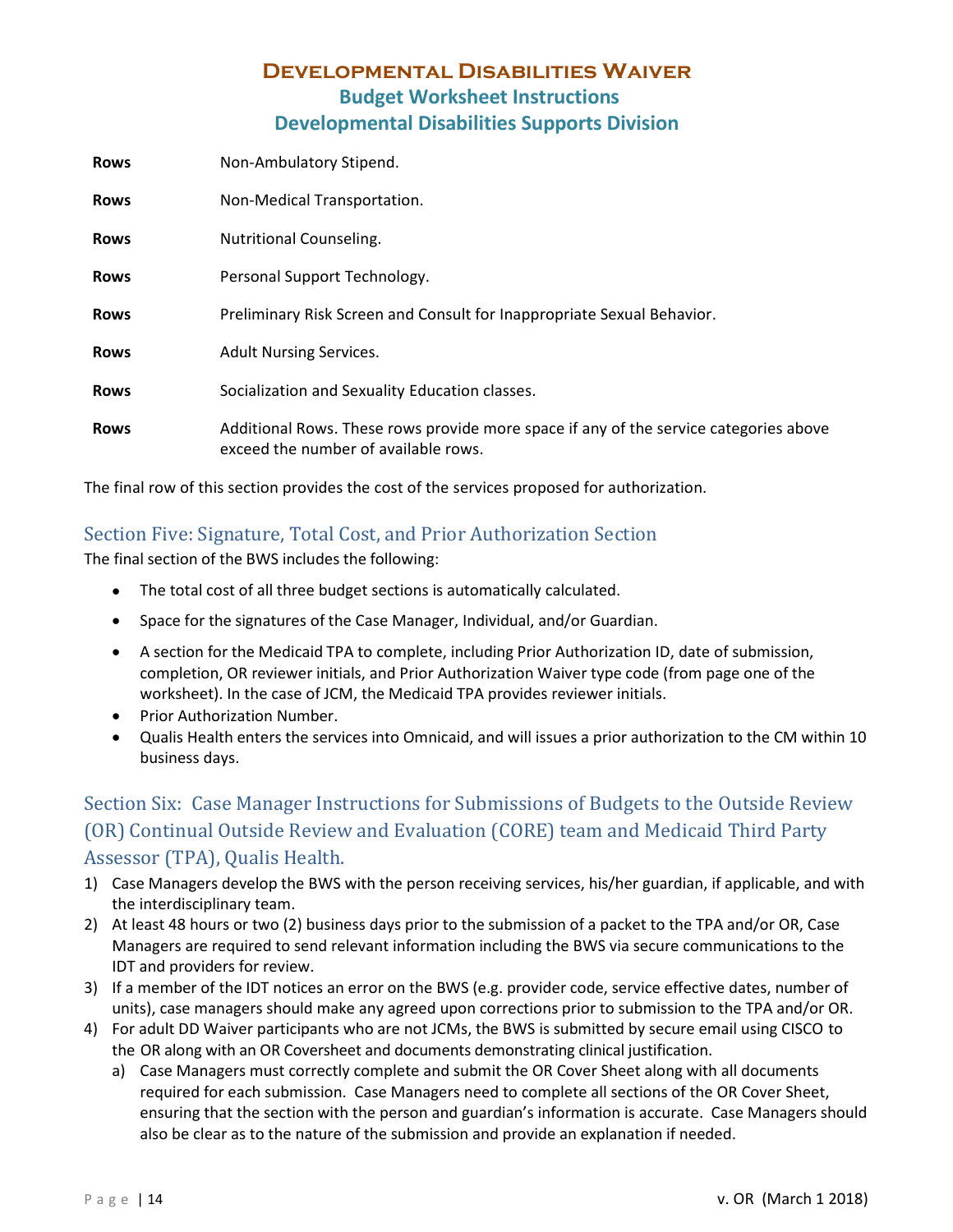| <b>Rows</b> | Non-Ambulatory Stipend.                                                                                                       |
|-------------|-------------------------------------------------------------------------------------------------------------------------------|
| <b>Rows</b> | Non-Medical Transportation.                                                                                                   |
| <b>Rows</b> | Nutritional Counseling.                                                                                                       |
| <b>Rows</b> | Personal Support Technology.                                                                                                  |
| <b>Rows</b> | Preliminary Risk Screen and Consult for Inappropriate Sexual Behavior.                                                        |
| <b>Rows</b> | <b>Adult Nursing Services.</b>                                                                                                |
| <b>Rows</b> | Socialization and Sexuality Education classes.                                                                                |
| <b>Rows</b> | Additional Rows. These rows provide more space if any of the service categories above<br>exceed the number of available rows. |

The final row of this section provides the cost of the services proposed for authorization.

#### <span id="page-11-0"></span>Section Five: Signature, Total Cost, and Prior Authorization Section

The final section of the BWS includes the following:

- The total cost of all three budget sections is automatically calculated.
- Space for the signatures of the Case Manager, Individual, and/or Guardian.
- A section for the Medicaid TPA to complete, including Prior Authorization ID, date of submission, completion, OR reviewer initials, and Prior Authorization Waiver type code (from page one of the worksheet). In the case of JCM, the Medicaid TPA provides reviewer initials.
- Prior Authorization Number.
- Qualis Health enters the services into Omnicaid, and will issues a prior authorization to the CM within 10 business days.

## <span id="page-11-1"></span>Section Six: Case Manager Instructions for Submissions of Budgets to the Outside Review (OR) Continual Outside Review and Evaluation (CORE) team and Medicaid Third Party Assessor (TPA), Qualis Health.

- 1) Case Managers develop the BWS with the person receiving services, his/her guardian, if applicable, and with the interdisciplinary team.
- 2) At least 48 hours or two (2) business days prior to the submission of a packet to the TPA and/or OR, Case Managers are required to send relevant information including the BWS via secure communications to the IDT and providers for review.
- 3) If a member of the IDT notices an error on the BWS (e.g. provider code, service effective dates, number of units), case managers should make any agreed upon corrections prior to submission to the TPA and/or OR.
- 4) For adult DD Waiver participants who are not JCMs, the BWS is submitted by secure email using CISCO to the OR along with an OR Coversheet and documents demonstrating clinical justification.
	- a) Case Managers must correctly complete and submit the OR Cover Sheet along with all documents required for each submission. Case Managers need to complete all sections of the OR Cover Sheet, ensuring that the section with the person and guardian's information is accurate. Case Managers should also be clear as to the nature of the submission and provide an explanation if needed.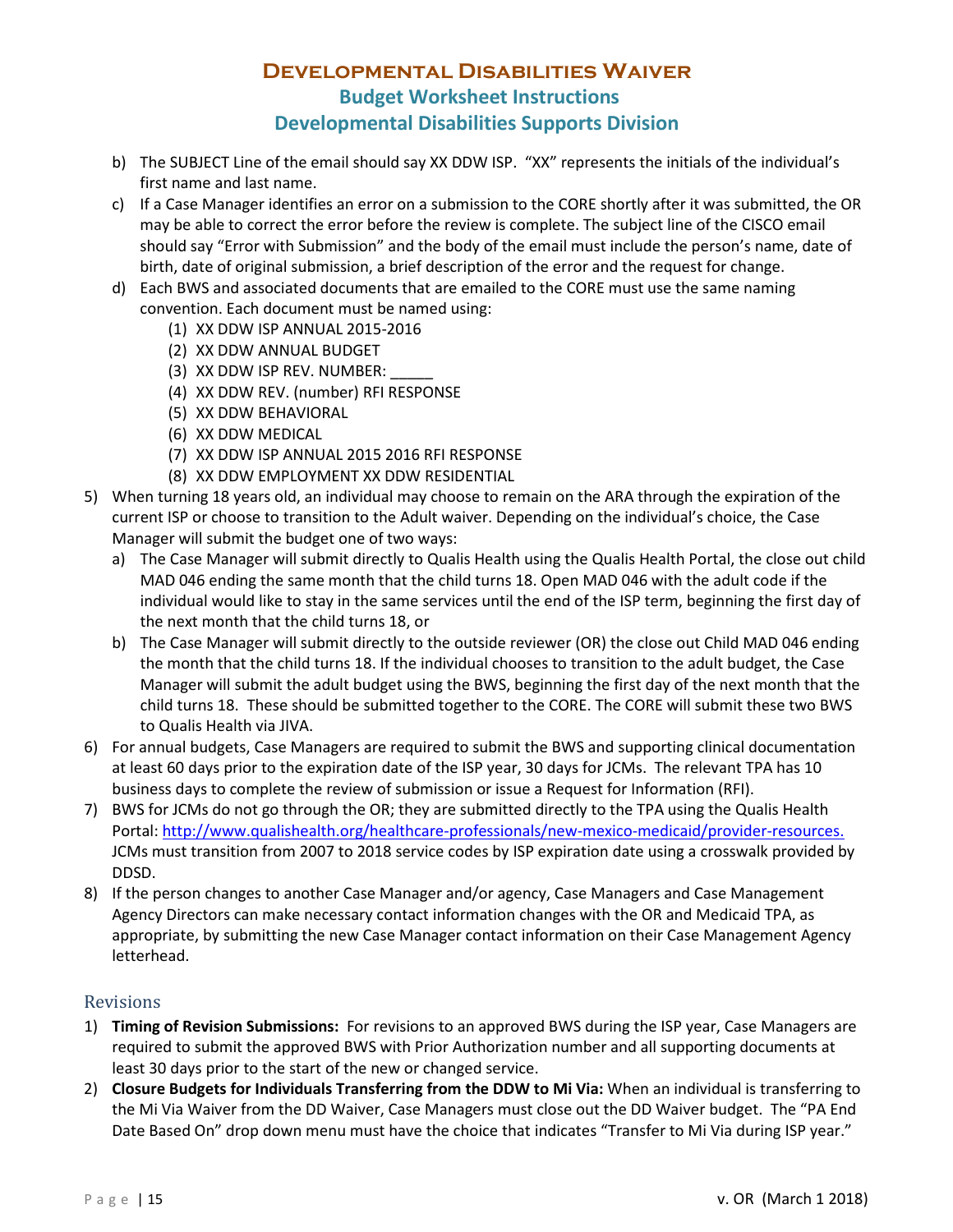- b) The SUBJECT Line of the email should say XX DDW ISP. "XX" represents the initials of the individual's first name and last name.
- c) If a Case Manager identifies an error on a submission to the CORE shortly after it was submitted, the OR may be able to correct the error before the review is complete. The subject line of the CISCO email should say "Error with Submission" and the body of the email must include the person's name, date of birth, date of original submission, a brief description of the error and the request for change.
- d) Each BWS and associated documents that are emailed to the CORE must use the same naming convention. Each document must be named using:
	- (1) XX DDW ISP ANNUAL 2015-2016
	- (2) XX DDW ANNUAL BUDGET
	- (3) XX DDW ISP REV. NUMBER:
	- (4) XX DDW REV. (number) RFI RESPONSE
	- (5) XX DDW BEHAVIORAL
	- (6) XX DDW MEDICAL
	- (7) XX DDW ISP ANNUAL 2015 2016 RFI RESPONSE
	- (8) XX DDW EMPLOYMENT XX DDW RESIDENTIAL
- 5) When turning 18 years old, an individual may choose to remain on the ARA through the expiration of the current ISP or choose to transition to the Adult waiver. Depending on the individual's choice, the Case Manager will submit the budget one of two ways:
	- a) The Case Manager will submit directly to Qualis Health using the Qualis Health Portal, the close out child MAD 046 ending the same month that the child turns 18. Open MAD 046 with the adult code if the individual would like to stay in the same services until the end of the ISP term, beginning the first day of the next month that the child turns 18, or
	- b) The Case Manager will submit directly to the outside reviewer (OR) the close out Child MAD 046 ending the month that the child turns 18. If the individual chooses to transition to the adult budget, the Case Manager will submit the adult budget using the BWS, beginning the first day of the next month that the child turns 18. These should be submitted together to the CORE. The CORE will submit these two BWS to Qualis Health via JIVA.
- 6) For annual budgets, Case Managers are required to submit the BWS and supporting clinical documentation at least 60 days prior to the expiration date of the ISP year, 30 days for JCMs. The relevant TPA has 10 business days to complete the review of submission or issue a Request for Information (RFI).
- 7) BWS for JCMs do not go through the OR; they are submitted directly to the TPA using the Qualis Health Portal: [http://www.qualishealth.org/healthcare-professionals/new-mexico-medicaid/provider-resources.](http://www.qualishealth.org/healthcare-professionals/new-mexico-medicaid/provider-resources) JCMs must transition from 2007 to 2018 service codes by ISP expiration date using a crosswalk provided by DDSD.
- 8) If the person changes to another Case Manager and/or agency, Case Managers and Case Management Agency Directors can make necessary contact information changes with the OR and Medicaid TPA, as appropriate, by submitting the new Case Manager contact information on their Case Management Agency letterhead.

#### <span id="page-12-0"></span>Revisions

- 1) **Timing of Revision Submissions:** For revisions to an approved BWS during the ISP year, Case Managers are required to submit the approved BWS with Prior Authorization number and all supporting documents at least 30 days prior to the start of the new or changed service.
- 2) **Closure Budgets for Individuals Transferring from the DDW to Mi Via:** When an individual is transferring to the Mi Via Waiver from the DD Waiver, Case Managers must close out the DD Waiver budget. The "PA End Date Based On" drop down menu must have the choice that indicates "Transfer to Mi Via during ISP year."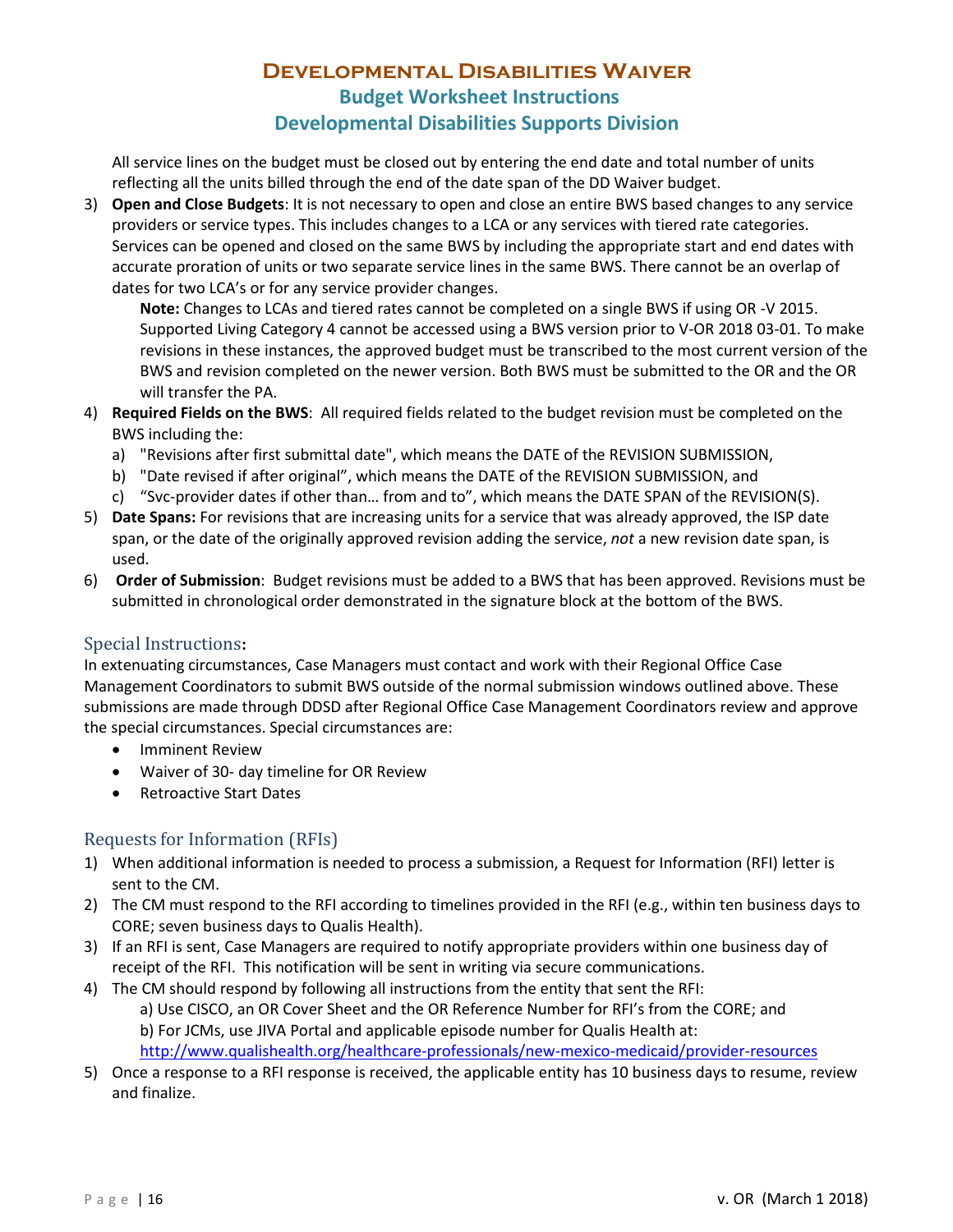All service lines on the budget must be closed out by entering the end date and total number of units reflecting all the units billed through the end of the date span of the DD Waiver budget.

3) **Open and Close Budgets**: It is not necessary to open and close an entire BWS based changes to any service providers or service types. This includes changes to a LCA or any services with tiered rate categories. Services can be opened and closed on the same BWS by including the appropriate start and end dates with accurate proration of units or two separate service lines in the same BWS. There cannot be an overlap of dates for two LCA's or for any service provider changes.

**Note:** Changes to LCAs and tiered rates cannot be completed on a single BWS if using OR -V 2015. Supported Living Category 4 cannot be accessed using a BWS version prior to V-OR 2018 03-01. To make revisions in these instances, the approved budget must be transcribed to the most current version of the BWS and revision completed on the newer version. Both BWS must be submitted to the OR and the OR will transfer the PA.

- 4) **Required Fields on the BWS**: All required fields related to the budget revision must be completed on the BWS including the:
	- a) "Revisions after first submittal date", which means the DATE of the REVISION SUBMISSION,
	- b) "Date revised if after original", which means the DATE of the REVISION SUBMISSION, and
	- c) "Svc-provider dates if other than… from and to", which means the DATE SPAN of the REVISION(S).
- 5) **Date Spans:** For revisions that are increasing units for a service that was already approved, the ISP date span, or the date of the originally approved revision adding the service, *not* a new revision date span, is used.
- 6) **Order of Submission**: Budget revisions must be added to a BWS that has been approved. Revisions must be submitted in chronological order demonstrated in the signature block at the bottom of the BWS.

#### <span id="page-13-0"></span>Special Instructions**:**

In extenuating circumstances, Case Managers must contact and work with their Regional Office Case Management Coordinators to submit BWS outside of the normal submission windows outlined above. These submissions are made through DDSD after Regional Office Case Management Coordinators review and approve the special circumstances. Special circumstances are:

- Imminent Review
- Waiver of 30- day timeline for OR Review
- Retroactive Start Dates

#### <span id="page-13-1"></span>Requests for Information (RFIs)

- 1) When additional information is needed to process a submission, a Request for Information (RFI) letter is sent to the CM.
- 2) The CM must respond to the RFI according to timelines provided in the RFI (e.g., within ten business days to CORE; seven business days to Qualis Health).
- 3) If an RFI is sent, Case Managers are required to notify appropriate providers within one business day of receipt of the RFI. This notification will be sent in writing via secure communications.
- 4) The CM should respond by following all instructions from the entity that sent the RFI:
	- a) Use CISCO, an OR Cover Sheet and the OR Reference Number for RFI's from the CORE; and b) For JCMs, use JIVA Portal and applicable episode number for Qualis Health at:
	- <http://www.qualishealth.org/healthcare-professionals/new-mexico-medicaid/provider-resources>
- 5) Once a response to a RFI response is received, the applicable entity has 10 business days to resume, review and finalize.